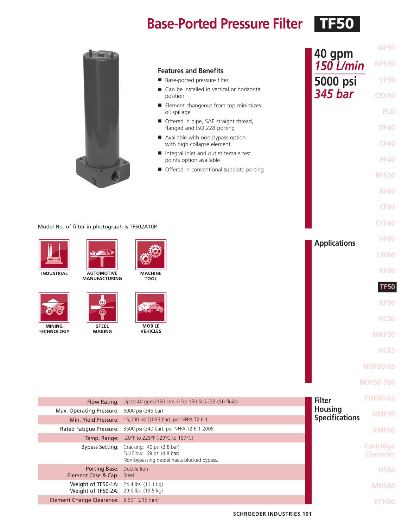## **Base-Ported Pressure Filter** TF50



#### **Features and Benefits**

- Base-ported pressure filter
- Can be installed in vertical or horizontal position
- Element changeout from top minimizes oil spillage
- Offered in pipe, SAE straight thread, flanged and ISO 228 porting
- Available with non-bypass option with high collapse element
- Integral inlet and outlet female test points option available
- Offered in conventional subplate porting

#### Model No. of filter in photograph is TF502A10P.







**MACHINE TOOL** 



**MINING TECHNOLOGY** 



**MAKING** 

**MOBILE VEHICLES** 



**NOF50-760**

**NF30**

**NFS30**

**40 gpm**

*150 L/min*

**5000 psi** *345 bar*

**YF30**

**CFX30**

**PLD**

**DF40**

**CF40**

**PF40**

**RFS50**

**RF60**

**CF60**

**CTF60**

|                                                                                  |                                                                                                                        |                       | <b>FOF60-03</b>                     |
|----------------------------------------------------------------------------------|------------------------------------------------------------------------------------------------------------------------|-----------------------|-------------------------------------|
|                                                                                  | Flow Rating: Up to 40 gpm (150 L/min) for 150 SUS (32 cSt) fluids                                                      | <b>Filter</b>         |                                     |
| Max. Operating Pressure: 5000 psi (345 bar)                                      |                                                                                                                        | <b>Housing</b>        | <b>NMF30</b>                        |
|                                                                                  | Min. Yield Pressure: 15,000 psi (1035 bar), per NFPA T2.6.1                                                            | <b>Specifications</b> |                                     |
|                                                                                  | Rated Fatigue Pressure: 3500 psi (240 bar), per NFPA T2.6.1-2005                                                       |                       | <b>RMF60</b>                        |
|                                                                                  | Temp. Range: -20°F to 225°F (-29°C to 107°C)                                                                           |                       |                                     |
|                                                                                  | Bypass Setting: Cracking: 40 psi (2.8 bar)<br>Full Flow: 69 psi (4.8 bar)<br>Non-bypassing model has a blocked bypass. |                       | <b>Cartridge</b><br><b>Elements</b> |
| <b>Porting Base:</b> Ductile Iron<br>Element Case & Cap: Steel                   |                                                                                                                        |                       | <b>HS60</b>                         |
| Weight of TF50-1A: 24.4 lbs. (11.1 kg)<br>Weight of TF50-2A: 29.8 lbs. (13.5 kg) |                                                                                                                        |                       | MHS <sub>60</sub>                   |
| Element Change Clearance: 8.50" (215 mm)                                         |                                                                                                                        |                       |                                     |
|                                                                                  |                                                                                                                        |                       |                                     |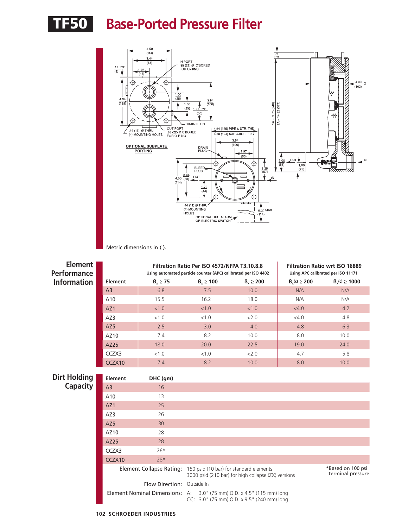# TF50 **Base-Ported Pressure Filter**



Metric dimensions in ( ).

| <b>Element</b><br><b>Performance</b> |                                 |                            | Filtration Ratio Per ISO 4572/NFPA T3.10.8.8<br>Using automated particle counter (APC) calibrated per ISO 4402      | <b>Filtration Ratio wrt ISO 16889</b><br>Using APC calibrated per ISO 11171                    |                    |                     |  |  |
|--------------------------------------|---------------------------------|----------------------------|---------------------------------------------------------------------------------------------------------------------|------------------------------------------------------------------------------------------------|--------------------|---------------------|--|--|
| <b>Information</b>                   | <b>Element</b>                  | $B_x \geq 75$              | $B_x \ge 100$                                                                                                       | $B_x \ge 200$                                                                                  | $B_{x}(c) \ge 200$ | $B_{x}(c) \ge 1000$ |  |  |
|                                      | A <sub>3</sub>                  | 6.8                        | 7.5                                                                                                                 | 10.0                                                                                           | N/A                | N/A                 |  |  |
|                                      | A10                             | 15.5                       | 16.2                                                                                                                | 18.0                                                                                           | N/A                | N/A                 |  |  |
|                                      | AZ1                             | < 1.0                      | < 1.0                                                                                                               | < 1.0                                                                                          | <4.0               | 4.2                 |  |  |
|                                      | AZ3                             | < 1.0                      | < 1.0                                                                                                               | 2.0                                                                                            | <4.0               | 4.8                 |  |  |
|                                      | AZ5                             | 2.5                        | 3.0                                                                                                                 | 4.0                                                                                            | 4.8                | 6.3                 |  |  |
|                                      | AZ10                            | 7.4                        | 8.2                                                                                                                 | 10.0                                                                                           | 8.0                | 10.0                |  |  |
|                                      | AZ25                            | 18.0                       | 20.0                                                                                                                | 22.5                                                                                           | 19.0               | 24.0                |  |  |
|                                      | CCZX3                           | < 1.0                      | < 1.0                                                                                                               | 2.0                                                                                            | 4.7                | 5.8                 |  |  |
|                                      | CCZX10                          | 7.4                        | 8.2                                                                                                                 | 10.0                                                                                           | 8.0                | 10.0                |  |  |
| <b>Dirt Holding</b>                  | Element                         | DHC (gm)                   |                                                                                                                     |                                                                                                |                    |                     |  |  |
| <b>Capacity</b>                      | A <sub>3</sub>                  | 16                         |                                                                                                                     |                                                                                                |                    |                     |  |  |
|                                      | A10                             | 13                         |                                                                                                                     |                                                                                                |                    |                     |  |  |
|                                      | AZ1                             | 25                         |                                                                                                                     |                                                                                                |                    |                     |  |  |
|                                      | AZ3                             | 26                         |                                                                                                                     |                                                                                                |                    |                     |  |  |
|                                      | AZ5                             | 30                         |                                                                                                                     |                                                                                                |                    |                     |  |  |
|                                      | AZ10                            | 28                         |                                                                                                                     |                                                                                                |                    |                     |  |  |
|                                      | AZ25                            | 28                         |                                                                                                                     |                                                                                                |                    |                     |  |  |
|                                      | CCZX3                           | $26*$                      |                                                                                                                     |                                                                                                |                    |                     |  |  |
|                                      | CCZX10                          | $28*$                      |                                                                                                                     |                                                                                                |                    |                     |  |  |
|                                      | <b>Element Collapse Rating:</b> |                            |                                                                                                                     | 150 psid (10 bar) for standard elements<br>3000 psid (210 bar) for high collapse (ZX) versions |                    |                     |  |  |
|                                      |                                 | Flow Direction: Outside In |                                                                                                                     |                                                                                                |                    |                     |  |  |
|                                      |                                 |                            | Element Nominal Dimensions: A: 3.0" (75 mm) O.D. x 4.5" (115 mm) long<br>CC: 3.0" (75 mm) O.D. x 9.5" (240 mm) long |                                                                                                |                    |                     |  |  |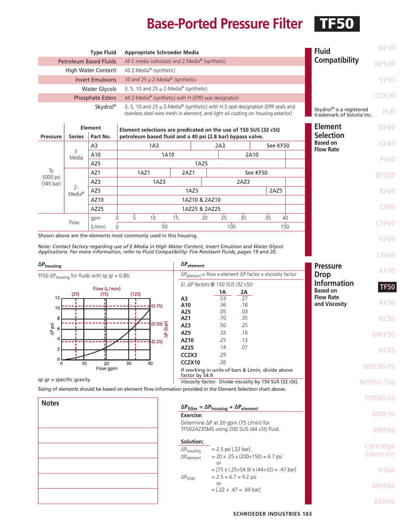# **Base-Ported Pressure Filter** TF50

|                             |                       | <b>Type Fluid</b>                                              | <b>Appropriate Schroeder Media</b>                                                                            |                                                                                                                                                                     |                                                               |                                           |           |          |                                                      | <b>Fluid</b>                                          | <b>NF30</b>     |
|-----------------------------|-----------------------|----------------------------------------------------------------|---------------------------------------------------------------------------------------------------------------|---------------------------------------------------------------------------------------------------------------------------------------------------------------------|---------------------------------------------------------------|-------------------------------------------|-----------|----------|------------------------------------------------------|-------------------------------------------------------|-----------------|
|                             |                       | <b>Petroleum Based Fluids</b>                                  | All E media (cellulose) and Z-Media <sup>®</sup> (synthetic)                                                  |                                                                                                                                                                     |                                                               |                                           |           |          | Compatibility                                        | <b>NFS30</b>                                          |                 |
|                             |                       | <b>High Water Content</b>                                      | All Z-Media® (synthetic)                                                                                      |                                                                                                                                                                     |                                                               |                                           |           |          |                                                      |                                                       |                 |
|                             |                       | <b>Invert Emulsions</b>                                        | 10 and 25 µ Z-Media® (synthetic)                                                                              |                                                                                                                                                                     |                                                               |                                           |           |          |                                                      | <b>YF30</b>                                           |                 |
|                             |                       | <b>Water Glycols</b>                                           | 3, 5, 10 and 25 $\mu$ Z-Media <sup>®</sup> (synthetic)                                                        |                                                                                                                                                                     |                                                               |                                           |           |          |                                                      |                                                       | <b>CFX30</b>    |
|                             |                       | <b>Phosphate Esters</b><br>Skydrol®                            |                                                                                                               | All Z-Media® (synthetic) with H (EPR) seal designation                                                                                                              |                                                               |                                           |           |          |                                                      |                                                       |                 |
|                             |                       |                                                                |                                                                                                               | 3, 5, 10 and 25 µ Z-Media® (synthetic) with H.5 seal designation (EPR seals and<br>stainless steel wire mesh in element, and light oil coating on housing exterior) |                                                               |                                           |           |          |                                                      | Skydrol® is a registered<br>trademark of Solutia Inc. |                 |
|                             | <b>Element</b>        |                                                                |                                                                                                               |                                                                                                                                                                     |                                                               |                                           |           |          |                                                      | <b>Element</b>                                        | <b>DF40</b>     |
| <b>Pressure</b>             | <b>Series</b>         | Part No.                                                       |                                                                                                               | Element selections are predicated on the use of 150 SUS (32 cSt)<br>petroleum based fluid and a 40 psi (2.8 bar) bypass valve.                                      |                                                               |                                           |           |          |                                                      |                                                       |                 |
|                             |                       | A3                                                             | 1A <sub>3</sub>                                                                                               |                                                                                                                                                                     | 2A3                                                           |                                           |           | See KF50 |                                                      | <b>Based on</b><br><b>Flow Rate</b>                   | <b>CF40</b>     |
|                             | E<br>Media            | A10                                                            | 1A10                                                                                                          |                                                                                                                                                                     |                                                               | 2A10                                      |           |          |                                                      |                                                       | <b>PF40</b>     |
| To                          |                       | A25                                                            |                                                                                                               | 1A25                                                                                                                                                                |                                                               |                                           |           |          |                                                      |                                                       |                 |
| 5000 psi                    |                       | AZ1<br>AZ3                                                     | 1AZ1<br>1AZ3                                                                                                  | 2AZ1                                                                                                                                                                |                                                               | 2AZ3                                      | See KF50  |          |                                                      |                                                       | <b>RFS50</b>    |
| $(345 \text{ bar})$         | Z-                    | AZ5                                                            |                                                                                                               | 1AZ5                                                                                                                                                                |                                                               |                                           |           | 2AZ5     |                                                      |                                                       | <b>RF60</b>     |
|                             | $Media^{\circledast}$ | AZ10                                                           |                                                                                                               | 1AZ10 & 2AZ10                                                                                                                                                       |                                                               |                                           |           |          |                                                      |                                                       |                 |
|                             |                       | AZ25                                                           |                                                                                                               | 1AZ25 & 2AZ25                                                                                                                                                       |                                                               |                                           |           |          |                                                      |                                                       | <b>CF60</b>     |
|                             | Flow                  | gpm                                                            | $\overline{5}$<br>10 <sup>°</sup><br>$\Omega$<br>$50^{\circ}$                                                 | $1\overline{5}$                                                                                                                                                     | 25<br>$20^{\circ}$                                            | $30^{\circ}$                              | 35        | 40       |                                                      |                                                       | <b>CTF60</b>    |
|                             |                       | (L/min)                                                        | $\Omega$<br>Shown above are the elements most commonly used in this housing.                                  |                                                                                                                                                                     |                                                               | 100                                       |           | 150      |                                                      |                                                       |                 |
|                             |                       |                                                                | Note: Contact factory regarding use of E Media in High Water Content, Invert Emulsion and Water Glycol        |                                                                                                                                                                     |                                                               |                                           |           |          |                                                      |                                                       | <b>VF60</b>     |
|                             |                       |                                                                | Applications. For more information, refer to Fluid Compatibility: Fire Resistant Fluids, pages 19 and 20.     |                                                                                                                                                                     |                                                               |                                           |           |          |                                                      |                                                       | <b>LW60</b>     |
| $\Delta P_{\text{housing}}$ |                       |                                                                |                                                                                                               | $\Delta P_{element}$                                                                                                                                                |                                                               |                                           |           |          |                                                      | <b>Pressure</b>                                       |                 |
|                             |                       | TF50 $\Delta P_{\text{housing}}$ for fluids with sp gr = 0.86: |                                                                                                               | $\Delta P_{element}$ = flow x element $\Delta P$ factor x viscosity factor                                                                                          |                                                               |                                           |           |          | <b>Drop</b><br><b>Information</b><br><b>Based on</b> | <b>KF30</b>                                           |                 |
|                             |                       | Flow (L/min)                                                   |                                                                                                               | El. ΔP factors @ 150 SUS (32 cSt):                                                                                                                                  |                                                               |                                           |           |          |                                                      |                                                       | <b>TF50</b>     |
| 12                          | (25)                  | (75)                                                           | (125)                                                                                                         | A3                                                                                                                                                                  | 1Α<br>.53<br>.36                                              |                                           | 2Α<br>.27 |          | <b>Flow Rate</b><br>and Viscosity                    |                                                       |                 |
| 10                          |                       |                                                                | (0.75)                                                                                                        | A10<br>A25                                                                                                                                                          |                                                               | .18<br>.05                                | .03       |          |                                                      | <b>KF50</b>                                           |                 |
| 8                           |                       |                                                                |                                                                                                               | AZ1                                                                                                                                                                 | .70                                                           | .35                                       |           |          |                                                      |                                                       | <b>KC50</b>     |
| $\Delta P$ psi              |                       |                                                                | $(0.50)$ $\underbrace{50}$                                                                                    | AZ3<br>AZ5                                                                                                                                                          | .50<br>.32                                                    | .25<br>.16                                |           |          |                                                      |                                                       |                 |
| 4                           |                       |                                                                | ₿<br>(0.25)                                                                                                   | AZ10                                                                                                                                                                | .25                                                           | .13                                       |           |          |                                                      |                                                       | <b>MKF50</b>    |
| $\overline{2}$              |                       | AZ25                                                           | .14                                                                                                           | .07                                                                                                                                                                 |                                                               |                                           |           |          | <b>KC65</b>                                          |                                                       |                 |
| $\Omega$                    | 10                    | CCZX3<br>.29<br>CCZX10<br>.26                                  |                                                                                                               |                                                                                                                                                                     |                                                               |                                           |           |          |                                                      |                                                       |                 |
|                             |                       | Flow gpm                                                       |                                                                                                               | If working in units of bars & L/min, divide above<br>factor by 54.9.                                                                                                |                                                               |                                           |           |          |                                                      |                                                       | <b>NOF30-05</b> |
| sp $qr = specific gravity$  |                       |                                                                |                                                                                                               | Viscosity factor: Divide viscosity by 150 SUS (32 cSt).                                                                                                             |                                                               |                                           |           |          |                                                      | <b>NOF50-760</b>                                      |                 |
|                             |                       |                                                                | Sizing of elements should be based on element flow information provided in the Element Selection chart above. |                                                                                                                                                                     |                                                               |                                           |           |          |                                                      |                                                       | <b>FOF60-03</b> |
| <b>Notes</b>                |                       |                                                                |                                                                                                               |                                                                                                                                                                     | $\Delta P_{filter} = \Delta P_{housing} + \Delta P_{element}$ |                                           |           |          |                                                      |                                                       |                 |
|                             |                       |                                                                |                                                                                                               | Exercise:                                                                                                                                                           |                                                               |                                           |           |          |                                                      |                                                       | <b>NMF30</b>    |
|                             |                       |                                                                |                                                                                                               | Determine ∆P at 20 gpm (75 L/min) for<br>TF502AZ3SMS using 200 SUS (44 cSt) fluid.                                                                                  |                                                               |                                           |           |          |                                                      | <b>RMF60</b>                                          |                 |
|                             |                       |                                                                |                                                                                                               |                                                                                                                                                                     |                                                               |                                           |           |          |                                                      |                                                       |                 |
|                             |                       |                                                                | Solution:<br>$\Delta P_{\text{housing}}$                                                                      |                                                                                                                                                                     | $= 2.5$ psi [.22 bar]                                         |                                           |           |          |                                                      | <b>Cartridge</b>                                      |                 |
|                             |                       |                                                                |                                                                                                               | $\Delta P_{element}$                                                                                                                                                |                                                               | $= 20$ x .25 x (200÷150) = 6.7 psi        |           |          |                                                      |                                                       | <b>Elements</b> |
|                             |                       |                                                                |                                                                                                               |                                                                                                                                                                     | or                                                            | $=$ [75 x (.25÷54.9) x (44÷32) = .47 bar] |           |          |                                                      |                                                       | <b>HS60</b>     |
|                             |                       |                                                                |                                                                                                               | $\Delta P_{total}$                                                                                                                                                  | or                                                            | $= 2.5 + 6.7 = 9.2$ psi                   |           |          |                                                      |                                                       |                 |
| $=[.22 + .47 = .69$ bar]    |                       |                                                                |                                                                                                               |                                                                                                                                                                     |                                                               |                                           |           |          |                                                      |                                                       | MHS60           |
|                             |                       |                                                                |                                                                                                               |                                                                                                                                                                     |                                                               |                                           |           |          |                                                      | <b>KFH50</b>                                          |                 |
|                             |                       |                                                                |                                                                                                               |                                                                                                                                                                     |                                                               |                                           |           |          |                                                      |                                                       |                 |